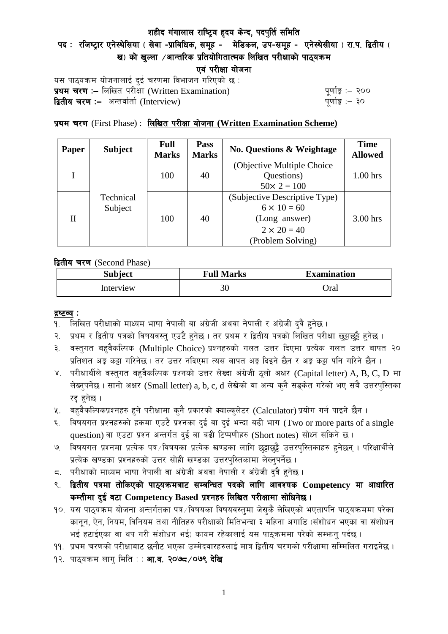# शहीद गंगालाल राष्ट्रिय हृदय केन्द, पदपुर्ति समिति

पद : रजिष्ट्रार एनेस्थेसिया ( सेवा -प्राविधिक, समूह - मेडिकल, उप-समूह - एनेस्थेसीया ) रा.प. द्वितीय ( ख) को खुल्ला  $\overline{\phantom{x}}$ आन्तरिक प्रतियोगितात्मक लिखित परीक्षाको पाठ्यक्रम

एवं परीक्षा योजना

यस पाठ्यक्रम योजनालाई दुई चरणमा विभाजन गरिएको छ : प्रथम चरण :- लिखित परीसा (Written Examination)  $\frac{1}{2}$  while  $\frac{1}{2}$  and  $\frac{1}{2}$ **द्वितीय चरण :–** अन्तर्वार्ता (Interview) k and the set of the set of the set of the set of the set of the set o

प्रथम चरण (First Phase) : लिखित परीक्षा योजना (Written Examination Scheme)

| Paper | <b>Subject</b>       | <b>Full</b><br><b>Marks</b> | Pass<br><b>Marks</b> | <b>No. Questions &amp; Weightage</b>      | <b>Time</b><br><b>Allowed</b> |
|-------|----------------------|-----------------------------|----------------------|-------------------------------------------|-------------------------------|
|       | Technical<br>Subject | 100                         | 40                   | (Objective Multiple Choice)<br>Questions) | $1.00$ hrs                    |
|       |                      |                             |                      | $50 \times 2 = 100$                       |                               |
| П     |                      | 100                         | 40                   | (Subjective Descriptive Type)             |                               |
|       |                      |                             |                      | $6 \times 10 = 60$                        |                               |
|       |                      |                             |                      | (Long answer)                             | $3.00$ hrs                    |
|       |                      |                             |                      | $2 \times 20 = 40$                        |                               |
|       |                      |                             |                      | (Problem Solving)                         |                               |

द्वितीय चरण (Second Phase)

| <b>Subject</b> | <b>Full Marks</b> | <b>Examination</b> |  |
|----------------|-------------------|--------------------|--|
| Interview      | 30                | Oral               |  |

### द्रष्टव्य :

- १. लिखित परीक्षाको माध्यम भाषा नेपाली वा अंग्रेजी अथवा नेपाली र अंग्रेजी द्वै हुनेछ ।
- २. प्रथम र द्वितीय पत्रको विषयवस्त् एउटै हुनेछ । तर प्रथम र द्वितीय पत्रको लिखित परीक्षा छुट्टाछुट्टै हुनेछ ।
- ३. वस्तुगत बहुवैकल्पिक (Multiple Choice) प्रश्नहरुको गलत उत्तर दिएमा प्रत्येक गलत उत्तर बापत २० प्रतिशत अड़ू कट्टा गरिनेछ । तर उत्तर नदिएमा त्यस बापत अड़ू दिइने छैन र अड़ू कट्टा पनि गरिने छैन ।
- ४. परीक्षार्थीले वस्तुगत बहुवैकल्पिक प्रश्नको उत्तर लेख्दा अंग्रेजी ठूलो अक्षर (Capital letter) A, B, C, D मा लेख्नुपर्नेछ । सानो अक्षर (Small letter) a, b, c, d लेखेको वा अन्य कुनै सङ्केत गरेको भए सबै उत्तरपुस्तिका रद्द हनेछ ।
- ५. वहवैकल्पिकप्रश्नहरु हुने परीक्षामा कुनै प्रकारको क्याल्कुलेटर (Calculator) प्रयोग गर्न पाइने छैन ।
- ६. विषयगत प्रश्नहरुको हकमा एउटै प्रश्नका दुई वा दुई भन्दा बढी भाग (Two or more parts of a single question) वा एउटा प्रश्न अन्तर्गत दुई वा बढी टिप्पणीहरु (Short notes) सोध्न सकिने छ।
- ७. विषयगत प्रश्नमा प्रत्येक पत्र ∕विषयका प्रत्येक खण्डका लागि छट्टाछट्टै उत्तरपुस्तिकाहरु हुनेछन् । परिक्षार्थीले प्रत्येक खण्डका प्रश्नहरुको उत्तर सोही खण्डका उत्तरपस्तिकामा लेख्नपर्नेछ ।
- $\,$ द. परीक्षाको माध्यम भाषा नेपाली वा अंग्रेजी अथवा नेपाली र अंग्रेजी द्वै हुनेछ ।
- ९. द्वितीय पत्रमा तोकिएको पाठ्यक्रमबाट सम्बन्धित पदको लागि आवश्यक Competency मा आधारित कम्तीमा दई वटा Competency Based प्रश्नहरु लिखित परीक्षामा सोधिनेछ।
- $10.$  यस पाठ्यक्रम योजना अन्तर्गतका पत्र $\sqrt{$ विषयका विषयवस्तुमा जेसुकै लेखिएको भएतापनि पाठ्यक्रममा परेका कानून, ऐन, नियम, विनियम तथा नीतिहरु परीक्षाको मितिभन्दा ३ महिना अगाडि (संशोधन भएका वा संशोधन भई हटाईएका वा थप गरी संशोधन भई) कायम रहेकालाई यस पाठकममा परेको सम्भन्न पर्दछ ।
- ११. प्रथम चरणको परीक्षाबाट छनौट भएका उम्मेदवारहरुलाई मात्र द्वितीय चरणको परीक्षामा सम्मिलित गराइनेछ ।
- १२. पाठ्यक्रम लाग मिति : : **आ.व. २०७८ /०७९ देखि**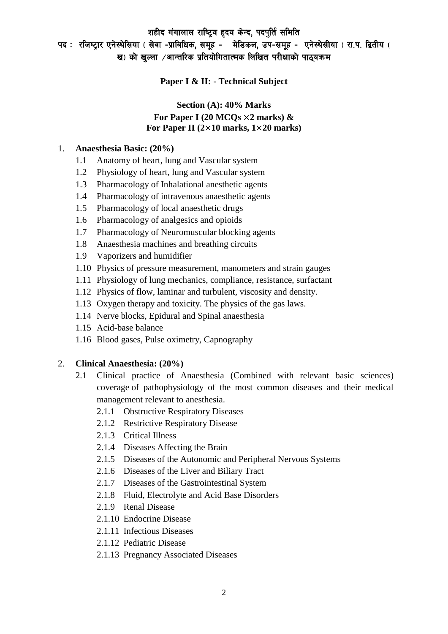# शहीद गंगालाल राष्ट्रिय हृदय केन्द, पदपुर्ति समिति पद : रजिष्ट्रार एनेस्थेसिया ( सेवा -प्राविधिक, समूह - मेडिकल, उप-समूह - एनेस्थेसीया ) रा.प. द्वितीय ( ख) को खल्ला  $\ell$ आन्तरिक प्रतियोगितात्मक लिखित परीक्षाको पाठ्यक्रम

### **Paper I & II: - Technical Subject**

# **Section (A): 40% Marks For Paper I (20 MCQs** ×**2 marks) & For Paper II (2**×**10 marks, 1**×**20 marks)**

#### 1. **Anaesthesia Basic: (20%)**

- 1.1 Anatomy of heart, lung and Vascular system
- 1.2 Physiology of heart, lung and Vascular system
- 1.3 Pharmacology of Inhalational anesthetic agents
- 1.4 Pharmacology of intravenous anaesthetic agents
- 1.5 Pharmacology of local anaesthetic drugs
- 1.6 Pharmacology of analgesics and opioids
- 1.7 Pharmacology of Neuromuscular blocking agents
- 1.8 Anaesthesia machines and breathing circuits
- 1.9 Vaporizers and humidifier
- 1.10 Physics of pressure measurement, manometers and strain gauges
- 1.11 Physiology of lung mechanics, compliance, resistance, surfactant
- 1.12 Physics of flow, laminar and turbulent, viscosity and density.
- 1.13 Oxygen therapy and toxicity. The physics of the gas laws.
- 1.14 Nerve blocks, Epidural and Spinal anaesthesia
- 1.15 Acid-base balance
- 1.16 Blood gases, Pulse oximetry, Capnography

#### 2. **Clinical Anaesthesia: (20%)**

- 2.1 Clinical practice of Anaesthesia (Combined with relevant basic sciences) coverage of pathophysiology of the most common diseases and their medical management relevant to anesthesia.
	- 2.1.1 Obstructive Respiratory Diseases
	- 2.1.2 Restrictive Respiratory Disease
	- 2.1.3 Critical Illness
	- 2.1.4 Diseases Affecting the Brain
	- 2.1.5 Diseases of the Autonomic and Peripheral Nervous Systems
	- 2.1.6 Diseases of the Liver and Biliary Tract
	- 2.1.7 Diseases of the Gastrointestinal System
	- 2.1.8 Fluid, Electrolyte and Acid Base Disorders
	- 2.1.9 Renal Disease
	- 2.1.10 Endocrine Disease
	- 2.1.11 Infectious Diseases
	- 2.1.12 Pediatric Disease
	- 2.1.13 Pregnancy Associated Diseases